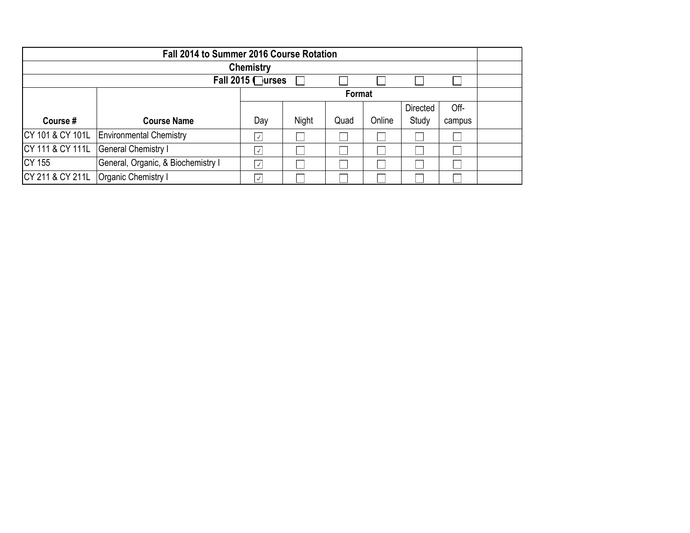| Fall 2014 to Summer 2016 Course Rotation |                                          |                          |       |      |        |                 |        |  |
|------------------------------------------|------------------------------------------|--------------------------|-------|------|--------|-----------------|--------|--|
| <b>Chemistry</b>                         |                                          |                          |       |      |        |                 |        |  |
| Fall 2015 □urses                         |                                          |                          |       |      |        |                 |        |  |
|                                          |                                          | Format                   |       |      |        |                 |        |  |
|                                          |                                          |                          |       |      |        | <b>Directed</b> | Off-   |  |
| Course #                                 | <b>Course Name</b>                       | Day                      | Night | Quad | Online | Study           | campus |  |
|                                          | CY 101 & CY 101L Environmental Chemistry | $\overline{\mathcal{L}}$ |       |      |        |                 |        |  |
| CY 111 & CY 111L                         | <b>General Chemistry I</b>               | $\vert$ $\checkmark$     |       |      |        |                 |        |  |
| CY 155                                   | General, Organic, & Biochemistry I       | $\sqrt{}$                |       |      |        |                 |        |  |
| CY 211 & CY 211L                         | Organic Chemistry I                      | $\checkmark$             |       |      |        |                 |        |  |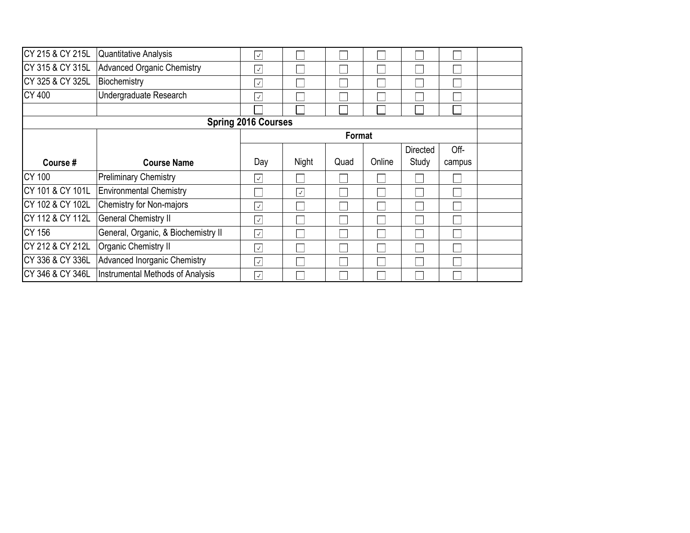| CY 215 & CY 215L           | Quantitative Analysis               | $\overline{\sqrt{2}}$   |              |      |        |          |        |  |
|----------------------------|-------------------------------------|-------------------------|--------------|------|--------|----------|--------|--|
| CY 315 & CY 315L           | <b>Advanced Organic Chemistry</b>   | $\sqrt{2}$              |              |      |        |          |        |  |
| CY 325 & CY 325L           | Biochemistry                        | $\overline{\checkmark}$ |              |      |        |          |        |  |
| <b>CY 400</b>              | Undergraduate Research              | $\overline{\checkmark}$ |              |      |        |          |        |  |
|                            |                                     |                         |              |      |        |          |        |  |
| <b>Spring 2016 Courses</b> |                                     |                         |              |      |        |          |        |  |
|                            |                                     | Format                  |              |      |        |          |        |  |
|                            |                                     |                         |              |      |        | Directed | Off-   |  |
| Course #                   | <b>Course Name</b>                  | Day                     | Night        | Quad | Online | Study    | campus |  |
| <b>CY 100</b>              | <b>Preliminary Chemistry</b>        | $\sqrt{ }$              |              |      |        |          |        |  |
| CY 101 & CY 101L           | <b>Environmental Chemistry</b>      |                         | $\checkmark$ |      |        |          |        |  |
| CY 102 & CY 102L           | <b>Chemistry for Non-majors</b>     | $\overline{\checkmark}$ |              |      |        |          |        |  |
| CY 112 & CY 112L           | <b>General Chemistry II</b>         | $\overline{\checkmark}$ |              |      |        |          |        |  |
| <b>CY 156</b>              | General, Organic, & Biochemistry II | $\overline{\sqrt{2}}$   |              |      |        |          |        |  |
| CY 212 & CY 212L           | Organic Chemistry II                | $\overline{\sqrt{2}}$   |              |      |        |          |        |  |
| CY 336 & CY 336L           | <b>Advanced Inorganic Chemistry</b> | $\checkmark$            |              |      |        |          |        |  |
| CY 346 & CY 346L           | Instrumental Methods of Analysis    | $\checkmark$            |              |      |        |          |        |  |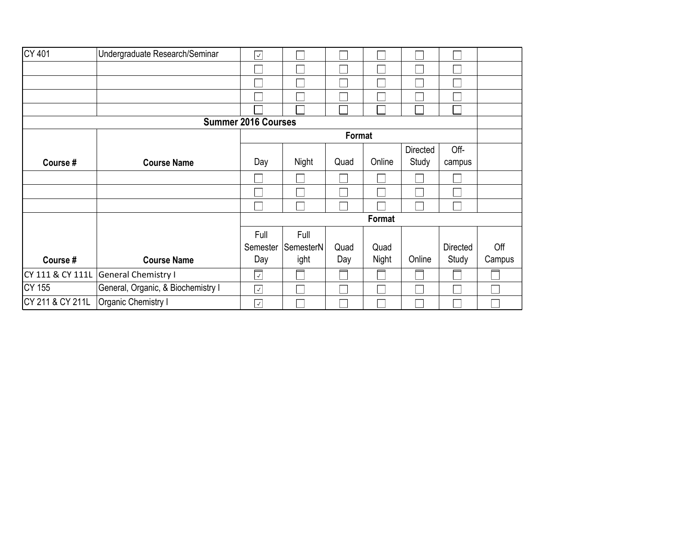| <b>CY 401</b>    | Undergraduate Research/Seminar     | $\checkmark$                            |           |        |        |          |                 |        |
|------------------|------------------------------------|-----------------------------------------|-----------|--------|--------|----------|-----------------|--------|
|                  |                                    |                                         |           |        |        |          |                 |        |
|                  |                                    |                                         |           |        |        |          |                 |        |
|                  |                                    |                                         |           |        |        |          |                 |        |
|                  |                                    |                                         |           |        |        |          |                 |        |
|                  |                                    | <b>Summer 2016 Courses</b>              |           |        |        |          |                 |        |
|                  |                                    |                                         |           | Format |        |          |                 |        |
|                  |                                    |                                         |           |        |        | Directed | Off-            |        |
| Course#          | <b>Course Name</b>                 | Day                                     | Night     | Quad   | Online | Study    | campus          |        |
|                  |                                    |                                         |           |        |        |          |                 |        |
|                  |                                    |                                         |           |        |        |          |                 |        |
|                  |                                    |                                         |           |        |        |          |                 |        |
|                  |                                    | Format                                  |           |        |        |          |                 |        |
|                  |                                    | Full                                    | Full      |        |        |          |                 |        |
|                  |                                    | Semester                                | SemesterN | Quad   | Quad   |          | <b>Directed</b> | Off    |
| Course #         | <b>Course Name</b>                 | Day                                     | ight      | Day    | Night  | Online   | Study           | Campus |
| CY 111 & CY 111L | <b>General Chemistry I</b>         | $\overline{\left\langle \right\rangle}$ |           |        |        |          |                 |        |
| <b>CY 155</b>    | General, Organic, & Biochemistry I | $\checkmark$                            |           |        |        |          |                 |        |
| CY 211 & CY 211L | Organic Chemistry I                | $\checkmark$                            |           |        |        |          |                 |        |